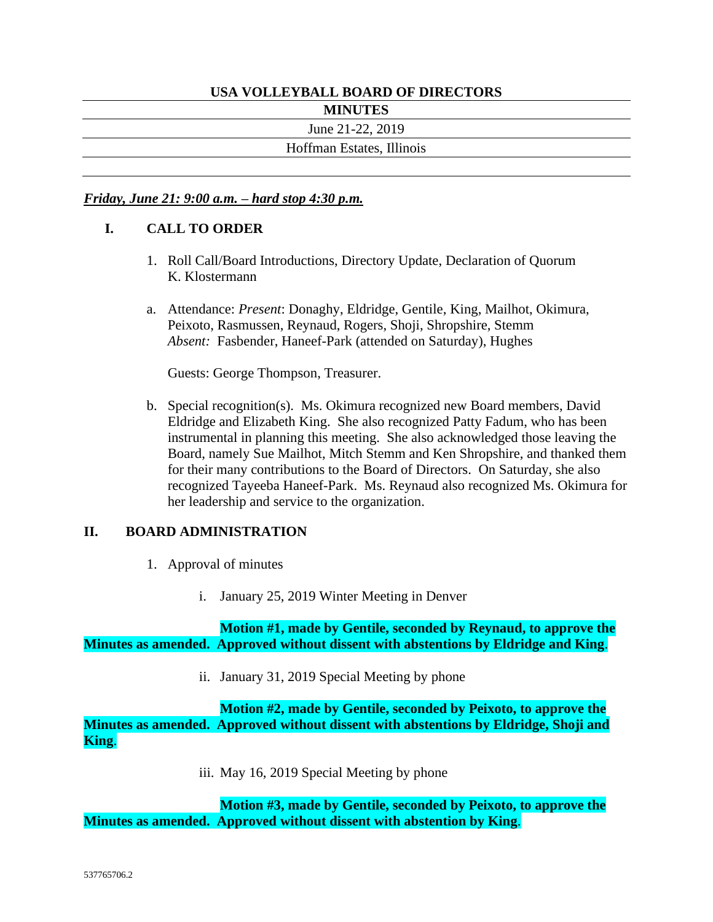# **USA VOLLEYBALL BOARD OF DIRECTORS**

**MINUTES**

June 21-22, 2019

Hoffman Estates, Illinois

#### *Friday, June 21: 9:00 a.m. – hard stop 4:30 p.m.*

#### **I. CALL TO ORDER**

- 1. Roll Call/Board Introductions, Directory Update, Declaration of Quorum K. Klostermann
- a. Attendance: *Present*: Donaghy, Eldridge, Gentile, King, Mailhot, Okimura, Peixoto, Rasmussen, Reynaud, Rogers, Shoji, Shropshire, Stemm *Absent:* Fasbender, Haneef-Park (attended on Saturday), Hughes

Guests: George Thompson, Treasurer.

b. Special recognition(s). Ms. Okimura recognized new Board members, David Eldridge and Elizabeth King. She also recognized Patty Fadum, who has been instrumental in planning this meeting. She also acknowledged those leaving the Board, namely Sue Mailhot, Mitch Stemm and Ken Shropshire, and thanked them for their many contributions to the Board of Directors. On Saturday, she also recognized Tayeeba Haneef-Park. Ms. Reynaud also recognized Ms. Okimura for her leadership and service to the organization.

#### **II. BOARD ADMINISTRATION**

- 1. Approval of minutes
	- i. January 25, 2019 Winter Meeting in Denver

**Motion #1, made by Gentile, seconded by Reynaud, to approve the Minutes as amended. Approved without dissent with abstentions by Eldridge and King**.

ii. January 31, 2019 Special Meeting by phone

**Motion #2, made by Gentile, seconded by Peixoto, to approve the Minutes as amended. Approved without dissent with abstentions by Eldridge, Shoji and King**.

iii. May 16, 2019 Special Meeting by phone

**Motion #3, made by Gentile, seconded by Peixoto, to approve the Minutes as amended. Approved without dissent with abstention by King**.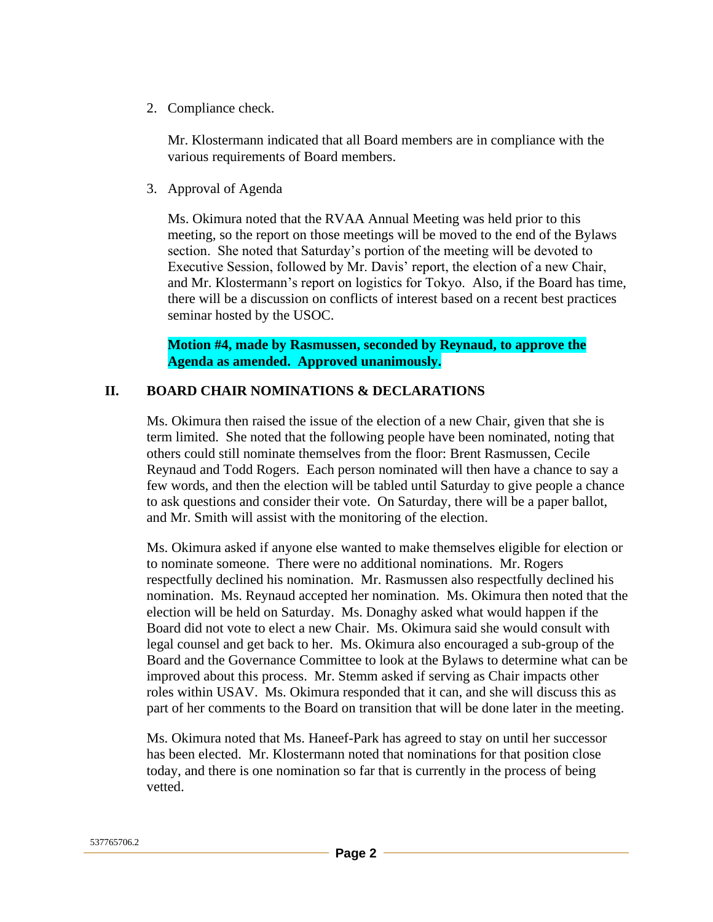2. Compliance check.

Mr. Klostermann indicated that all Board members are in compliance with the various requirements of Board members.

3. Approval of Agenda

Ms. Okimura noted that the RVAA Annual Meeting was held prior to this meeting, so the report on those meetings will be moved to the end of the Bylaws section. She noted that Saturday's portion of the meeting will be devoted to Executive Session, followed by Mr. Davis' report, the election of a new Chair, and Mr. Klostermann's report on logistics for Tokyo. Also, if the Board has time, there will be a discussion on conflicts of interest based on a recent best practices seminar hosted by the USOC.

**Motion #4, made by Rasmussen, seconded by Reynaud, to approve the Agenda as amended. Approved unanimously.**

#### **II. BOARD CHAIR NOMINATIONS & DECLARATIONS**

Ms. Okimura then raised the issue of the election of a new Chair, given that she is term limited. She noted that the following people have been nominated, noting that others could still nominate themselves from the floor: Brent Rasmussen, Cecile Reynaud and Todd Rogers. Each person nominated will then have a chance to say a few words, and then the election will be tabled until Saturday to give people a chance to ask questions and consider their vote. On Saturday, there will be a paper ballot, and Mr. Smith will assist with the monitoring of the election.

Ms. Okimura asked if anyone else wanted to make themselves eligible for election or to nominate someone. There were no additional nominations. Mr. Rogers respectfully declined his nomination. Mr. Rasmussen also respectfully declined his nomination. Ms. Reynaud accepted her nomination. Ms. Okimura then noted that the election will be held on Saturday. Ms. Donaghy asked what would happen if the Board did not vote to elect a new Chair. Ms. Okimura said she would consult with legal counsel and get back to her. Ms. Okimura also encouraged a sub-group of the Board and the Governance Committee to look at the Bylaws to determine what can be improved about this process. Mr. Stemm asked if serving as Chair impacts other roles within USAV. Ms. Okimura responded that it can, and she will discuss this as part of her comments to the Board on transition that will be done later in the meeting.

Ms. Okimura noted that Ms. Haneef-Park has agreed to stay on until her successor has been elected. Mr. Klostermann noted that nominations for that position close today, and there is one nomination so far that is currently in the process of being vetted.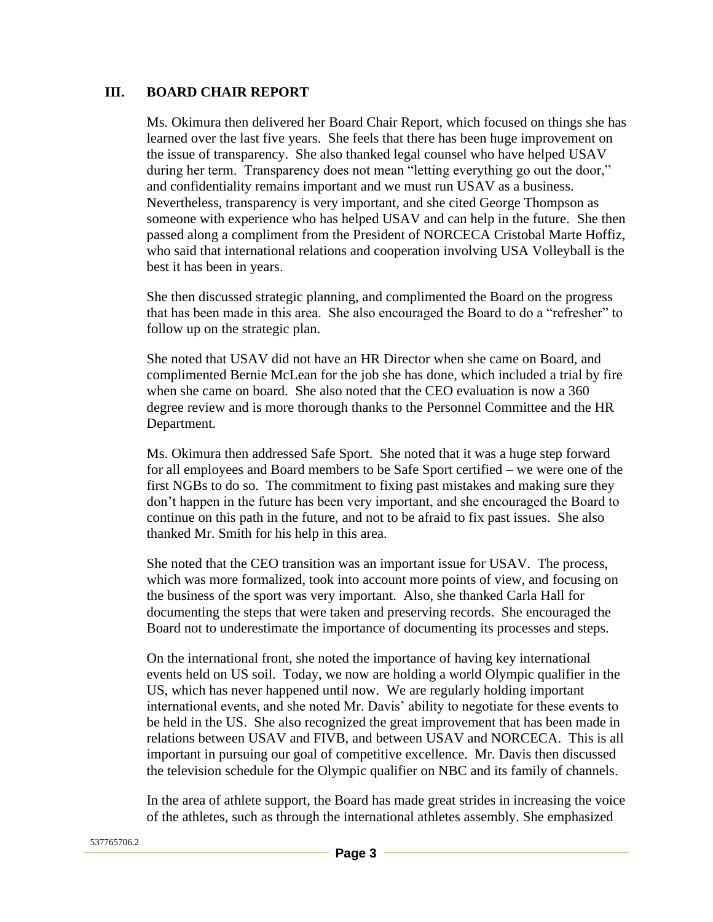#### **III. BOARD CHAIR REPORT**

Ms. Okimura then delivered her Board Chair Report, which focused on things she has learned over the last five years. She feels that there has been huge improvement on the issue of transparency. She also thanked legal counsel who have helped USAV during her term. Transparency does not mean "letting everything go out the door," and confidentiality remains important and we must run USAV as a business. Nevertheless, transparency is very important, and she cited George Thompson as someone with experience who has helped USAV and can help in the future. She then passed along a compliment from the President of NORCECA Cristobal Marte Hoffiz, who said that international relations and cooperation involving USA Volleyball is the best it has been in years.

She then discussed strategic planning, and complimented the Board on the progress that has been made in this area. She also encouraged the Board to do a "refresher" to follow up on the strategic plan.

She noted that USAV did not have an HR Director when she came on Board, and complimented Bernie McLean for the job she has done, which included a trial by fire when she came on board. She also noted that the CEO evaluation is now a 360 degree review and is more thorough thanks to the Personnel Committee and the HR Department.

Ms. Okimura then addressed Safe Sport. She noted that it was a huge step forward for all employees and Board members to be Safe Sport certified – we were one of the first NGBs to do so. The commitment to fixing past mistakes and making sure they don't happen in the future has been very important, and she encouraged the Board to continue on this path in the future, and not to be afraid to fix past issues. She also thanked Mr. Smith for his help in this area.

She noted that the CEO transition was an important issue for USAV. The process, which was more formalized, took into account more points of view, and focusing on the business of the sport was very important. Also, she thanked Carla Hall for documenting the steps that were taken and preserving records. She encouraged the Board not to underestimate the importance of documenting its processes and steps.

On the international front, she noted the importance of having key international events held on US soil. Today, we now are holding a world Olympic qualifier in the US, which has never happened until now. We are regularly holding important international events, and she noted Mr. Davis' ability to negotiate for these events to be held in the US. She also recognized the great improvement that has been made in relations between USAV and FIVB, and between USAV and NORCECA. This is all important in pursuing our goal of competitive excellence. Mr. Davis then discussed the television schedule for the Olympic qualifier on NBC and its family of channels.

In the area of athlete support, the Board has made great strides in increasing the voice of the athletes, such as through the international athletes assembly. She emphasized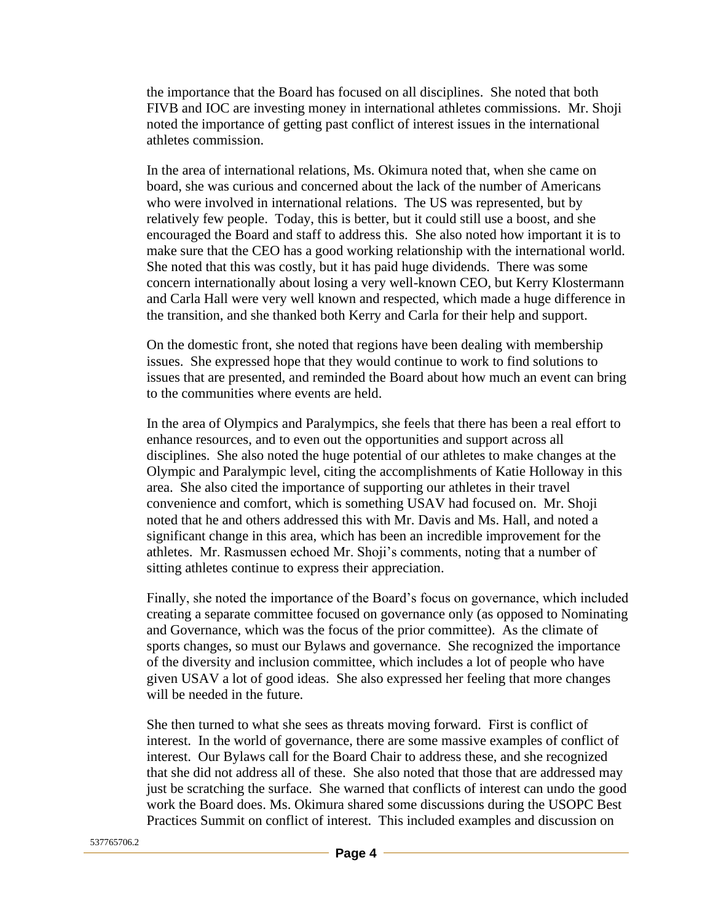the importance that the Board has focused on all disciplines. She noted that both FIVB and IOC are investing money in international athletes commissions. Mr. Shoji noted the importance of getting past conflict of interest issues in the international athletes commission.

In the area of international relations, Ms. Okimura noted that, when she came on board, she was curious and concerned about the lack of the number of Americans who were involved in international relations. The US was represented, but by relatively few people. Today, this is better, but it could still use a boost, and she encouraged the Board and staff to address this. She also noted how important it is to make sure that the CEO has a good working relationship with the international world. She noted that this was costly, but it has paid huge dividends. There was some concern internationally about losing a very well-known CEO, but Kerry Klostermann and Carla Hall were very well known and respected, which made a huge difference in the transition, and she thanked both Kerry and Carla for their help and support.

On the domestic front, she noted that regions have been dealing with membership issues. She expressed hope that they would continue to work to find solutions to issues that are presented, and reminded the Board about how much an event can bring to the communities where events are held.

In the area of Olympics and Paralympics, she feels that there has been a real effort to enhance resources, and to even out the opportunities and support across all disciplines. She also noted the huge potential of our athletes to make changes at the Olympic and Paralympic level, citing the accomplishments of Katie Holloway in this area. She also cited the importance of supporting our athletes in their travel convenience and comfort, which is something USAV had focused on. Mr. Shoji noted that he and others addressed this with Mr. Davis and Ms. Hall, and noted a significant change in this area, which has been an incredible improvement for the athletes. Mr. Rasmussen echoed Mr. Shoji's comments, noting that a number of sitting athletes continue to express their appreciation.

Finally, she noted the importance of the Board's focus on governance, which included creating a separate committee focused on governance only (as opposed to Nominating and Governance, which was the focus of the prior committee). As the climate of sports changes, so must our Bylaws and governance. She recognized the importance of the diversity and inclusion committee, which includes a lot of people who have given USAV a lot of good ideas. She also expressed her feeling that more changes will be needed in the future.

She then turned to what she sees as threats moving forward. First is conflict of interest. In the world of governance, there are some massive examples of conflict of interest. Our Bylaws call for the Board Chair to address these, and she recognized that she did not address all of these. She also noted that those that are addressed may just be scratching the surface. She warned that conflicts of interest can undo the good work the Board does. Ms. Okimura shared some discussions during the USOPC Best Practices Summit on conflict of interest. This included examples and discussion on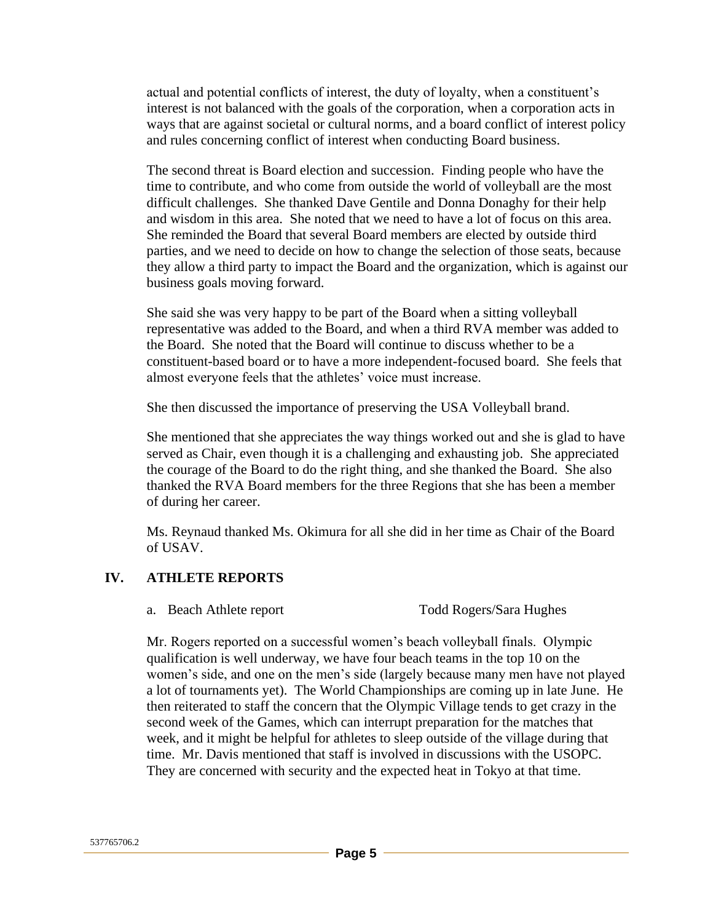actual and potential conflicts of interest, the duty of loyalty, when a constituent's interest is not balanced with the goals of the corporation, when a corporation acts in ways that are against societal or cultural norms, and a board conflict of interest policy and rules concerning conflict of interest when conducting Board business.

The second threat is Board election and succession. Finding people who have the time to contribute, and who come from outside the world of volleyball are the most difficult challenges. She thanked Dave Gentile and Donna Donaghy for their help and wisdom in this area. She noted that we need to have a lot of focus on this area. She reminded the Board that several Board members are elected by outside third parties, and we need to decide on how to change the selection of those seats, because they allow a third party to impact the Board and the organization, which is against our business goals moving forward.

She said she was very happy to be part of the Board when a sitting volleyball representative was added to the Board, and when a third RVA member was added to the Board. She noted that the Board will continue to discuss whether to be a constituent-based board or to have a more independent-focused board. She feels that almost everyone feels that the athletes' voice must increase.

She then discussed the importance of preserving the USA Volleyball brand.

She mentioned that she appreciates the way things worked out and she is glad to have served as Chair, even though it is a challenging and exhausting job. She appreciated the courage of the Board to do the right thing, and she thanked the Board. She also thanked the RVA Board members for the three Regions that she has been a member of during her career.

Ms. Reynaud thanked Ms. Okimura for all she did in her time as Chair of the Board of USAV.

### **IV. ATHLETE REPORTS**

- 
- a. Beach Athlete report Todd Rogers/Sara Hughes

Mr. Rogers reported on a successful women's beach volleyball finals. Olympic qualification is well underway, we have four beach teams in the top 10 on the women's side, and one on the men's side (largely because many men have not played a lot of tournaments yet). The World Championships are coming up in late June. He then reiterated to staff the concern that the Olympic Village tends to get crazy in the second week of the Games, which can interrupt preparation for the matches that week, and it might be helpful for athletes to sleep outside of the village during that time. Mr. Davis mentioned that staff is involved in discussions with the USOPC. They are concerned with security and the expected heat in Tokyo at that time.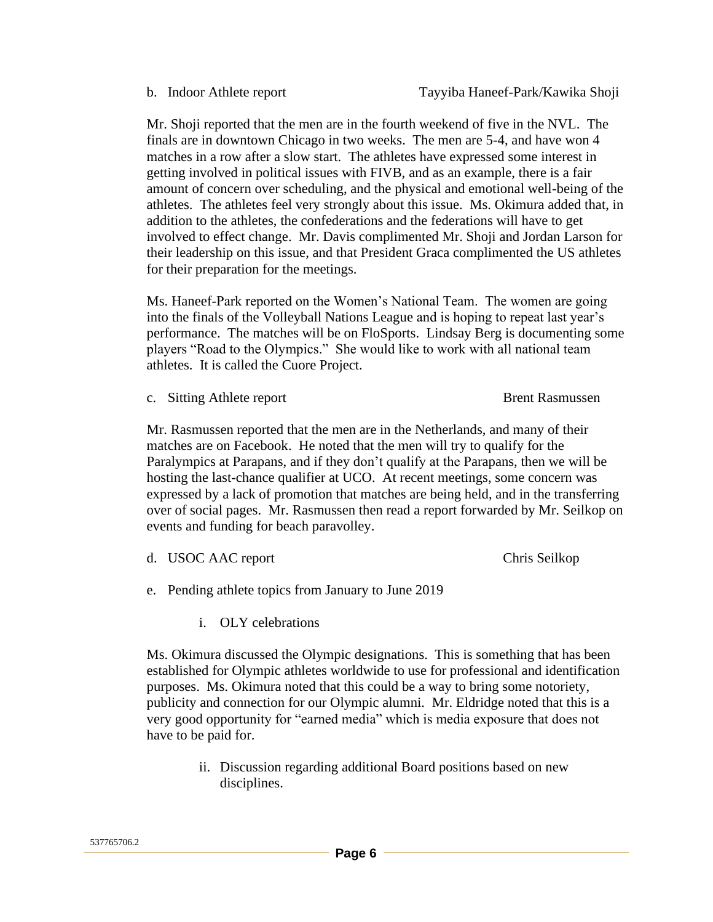getting involved in political issues with FIVB, and as an example, there is a fair

amount of concern over scheduling, and the physical and emotional well-being of the athletes. The athletes feel very strongly about this issue. Ms. Okimura added that, in addition to the athletes, the confederations and the federations will have to get involved to effect change. Mr. Davis complimented Mr. Shoji and Jordan Larson for their leadership on this issue, and that President Graca complimented the US athletes for their preparation for the meetings.

Mr. Shoji reported that the men are in the fourth weekend of five in the NVL. The finals are in downtown Chicago in two weeks. The men are 5-4, and have won 4 matches in a row after a slow start. The athletes have expressed some interest in

Ms. Haneef-Park reported on the Women's National Team. The women are going into the finals of the Volleyball Nations League and is hoping to repeat last year's performance. The matches will be on FloSports. Lindsay Berg is documenting some players "Road to the Olympics." She would like to work with all national team athletes. It is called the Cuore Project.

c. Sitting Athlete report Brent Rasmussen

Mr. Rasmussen reported that the men are in the Netherlands, and many of their matches are on Facebook. He noted that the men will try to qualify for the Paralympics at Parapans, and if they don't qualify at the Parapans, then we will be hosting the last-chance qualifier at UCO. At recent meetings, some concern was expressed by a lack of promotion that matches are being held, and in the transferring over of social pages. Mr. Rasmussen then read a report forwarded by Mr. Seilkop on events and funding for beach paravolley.

d. USOC AAC report Chris Seilkop

- e. Pending athlete topics from January to June 2019
	- i. OLY celebrations

Ms. Okimura discussed the Olympic designations. This is something that has been established for Olympic athletes worldwide to use for professional and identification purposes. Ms. Okimura noted that this could be a way to bring some notoriety, publicity and connection for our Olympic alumni. Mr. Eldridge noted that this is a very good opportunity for "earned media" which is media exposure that does not have to be paid for.

> ii. Discussion regarding additional Board positions based on new disciplines.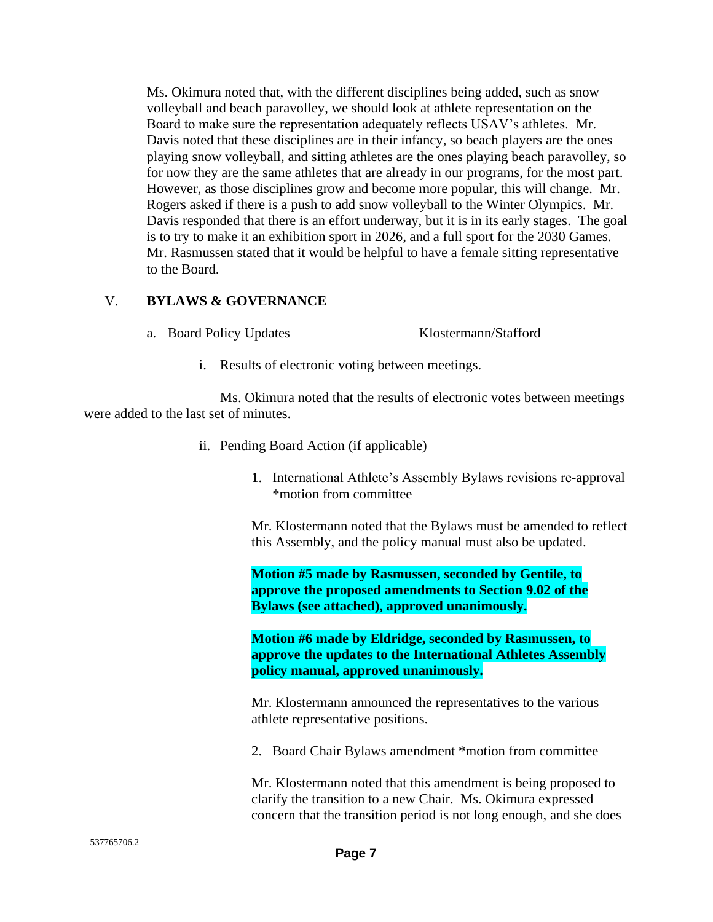Ms. Okimura noted that, with the different disciplines being added, such as snow volleyball and beach paravolley, we should look at athlete representation on the Board to make sure the representation adequately reflects USAV's athletes. Mr. Davis noted that these disciplines are in their infancy, so beach players are the ones playing snow volleyball, and sitting athletes are the ones playing beach paravolley, so for now they are the same athletes that are already in our programs, for the most part. However, as those disciplines grow and become more popular, this will change. Mr. Rogers asked if there is a push to add snow volleyball to the Winter Olympics. Mr. Davis responded that there is an effort underway, but it is in its early stages. The goal is to try to make it an exhibition sport in 2026, and a full sport for the 2030 Games. Mr. Rasmussen stated that it would be helpful to have a female sitting representative to the Board.

### V. **BYLAWS & GOVERNANCE**

a. Board Policy Updates Klostermann/Stafford

i. Results of electronic voting between meetings.

Ms. Okimura noted that the results of electronic votes between meetings were added to the last set of minutes.

- ii. Pending Board Action (if applicable)
	- 1. International Athlete's Assembly Bylaws revisions re-approval \*motion from committee

Mr. Klostermann noted that the Bylaws must be amended to reflect this Assembly, and the policy manual must also be updated.

**Motion #5 made by Rasmussen, seconded by Gentile, to approve the proposed amendments to Section 9.02 of the Bylaws (see attached), approved unanimously.**

**Motion #6 made by Eldridge, seconded by Rasmussen, to approve the updates to the International Athletes Assembly policy manual, approved unanimously.**

Mr. Klostermann announced the representatives to the various athlete representative positions.

2. Board Chair Bylaws amendment \*motion from committee

Mr. Klostermann noted that this amendment is being proposed to clarify the transition to a new Chair. Ms. Okimura expressed concern that the transition period is not long enough, and she does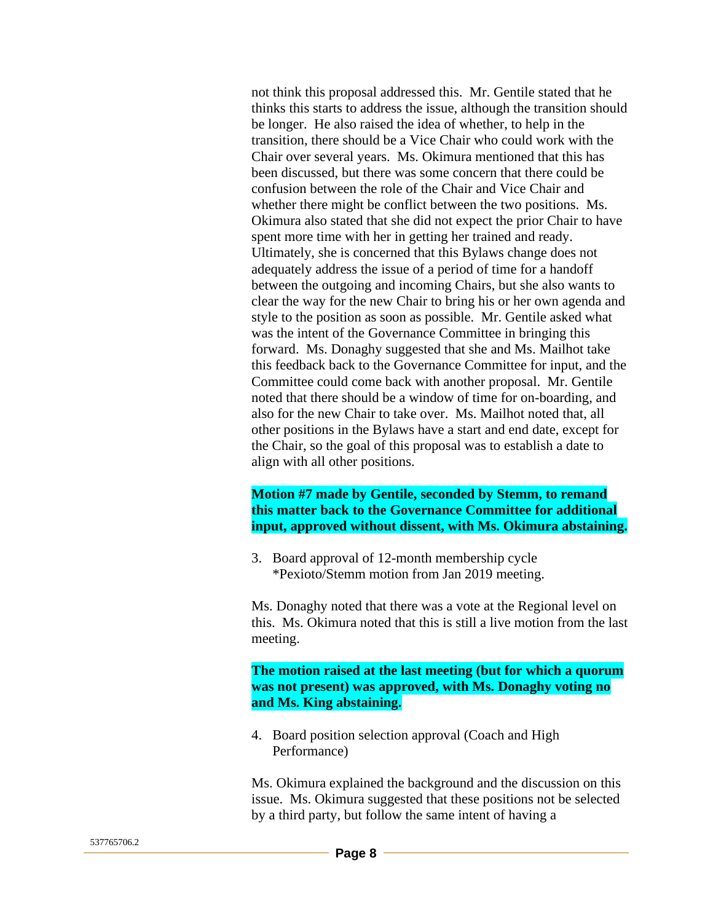not think this proposal addressed this. Mr. Gentile stated that he thinks this starts to address the issue, although the transition should be longer. He also raised the idea of whether, to help in the transition, there should be a Vice Chair who could work with the Chair over several years. Ms. Okimura mentioned that this has been discussed, but there was some concern that there could be confusion between the role of the Chair and Vice Chair and whether there might be conflict between the two positions. Ms. Okimura also stated that she did not expect the prior Chair to have spent more time with her in getting her trained and ready. Ultimately, she is concerned that this Bylaws change does not adequately address the issue of a period of time for a handoff between the outgoing and incoming Chairs, but she also wants to clear the way for the new Chair to bring his or her own agenda and style to the position as soon as possible. Mr. Gentile asked what was the intent of the Governance Committee in bringing this forward. Ms. Donaghy suggested that she and Ms. Mailhot take this feedback back to the Governance Committee for input, and the Committee could come back with another proposal. Mr. Gentile noted that there should be a window of time for on-boarding, and also for the new Chair to take over. Ms. Mailhot noted that, all other positions in the Bylaws have a start and end date, except for the Chair, so the goal of this proposal was to establish a date to align with all other positions.

#### **Motion #7 made by Gentile, seconded by Stemm, to remand this matter back to the Governance Committee for additional input, approved without dissent, with Ms. Okimura abstaining.**

3. Board approval of 12-month membership cycle \*Pexioto/Stemm motion from Jan 2019 meeting.

Ms. Donaghy noted that there was a vote at the Regional level on this. Ms. Okimura noted that this is still a live motion from the last meeting.

**The motion raised at the last meeting (but for which a quorum was not present) was approved, with Ms. Donaghy voting no and Ms. King abstaining.**

4. Board position selection approval (Coach and High Performance)

Ms. Okimura explained the background and the discussion on this issue. Ms. Okimura suggested that these positions not be selected by a third party, but follow the same intent of having a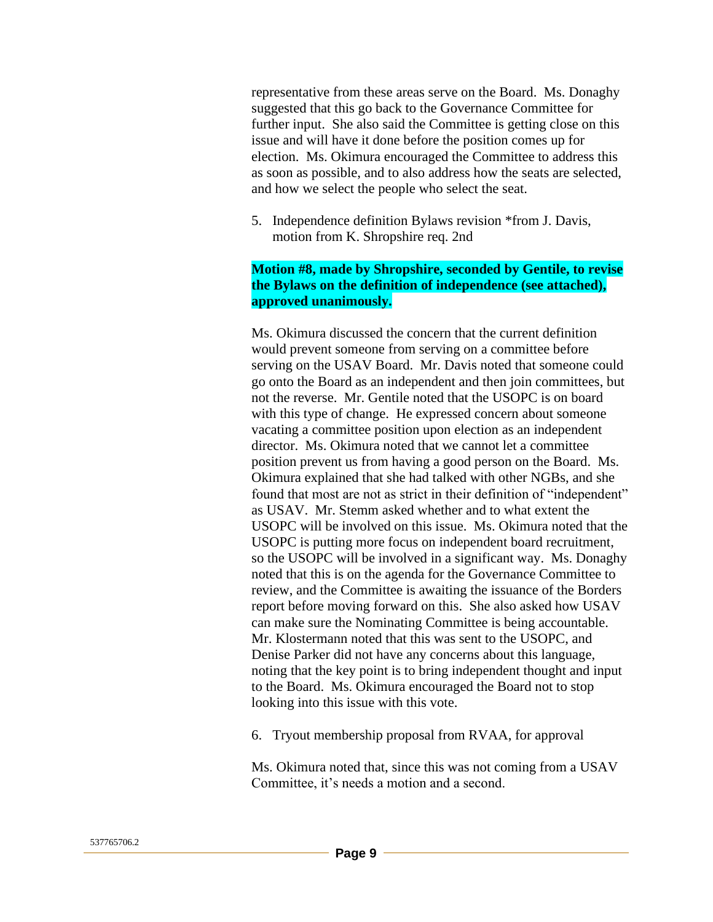representative from these areas serve on the Board. Ms. Donaghy suggested that this go back to the Governance Committee for further input. She also said the Committee is getting close on this issue and will have it done before the position comes up for election. Ms. Okimura encouraged the Committee to address this as soon as possible, and to also address how the seats are selected, and how we select the people who select the seat.

5. Independence definition Bylaws revision \*from J. Davis, motion from K. Shropshire req. 2nd

#### **Motion #8, made by Shropshire, seconded by Gentile, to revise the Bylaws on the definition of independence (see attached), approved unanimously.**

Ms. Okimura discussed the concern that the current definition would prevent someone from serving on a committee before serving on the USAV Board. Mr. Davis noted that someone could go onto the Board as an independent and then join committees, but not the reverse. Mr. Gentile noted that the USOPC is on board with this type of change. He expressed concern about someone vacating a committee position upon election as an independent director. Ms. Okimura noted that we cannot let a committee position prevent us from having a good person on the Board. Ms. Okimura explained that she had talked with other NGBs, and she found that most are not as strict in their definition of "independent" as USAV. Mr. Stemm asked whether and to what extent the USOPC will be involved on this issue. Ms. Okimura noted that the USOPC is putting more focus on independent board recruitment, so the USOPC will be involved in a significant way. Ms. Donaghy noted that this is on the agenda for the Governance Committee to review, and the Committee is awaiting the issuance of the Borders report before moving forward on this. She also asked how USAV can make sure the Nominating Committee is being accountable. Mr. Klostermann noted that this was sent to the USOPC, and Denise Parker did not have any concerns about this language, noting that the key point is to bring independent thought and input to the Board. Ms. Okimura encouraged the Board not to stop looking into this issue with this vote.

6. Tryout membership proposal from RVAA, for approval

Ms. Okimura noted that, since this was not coming from a USAV Committee, it's needs a motion and a second.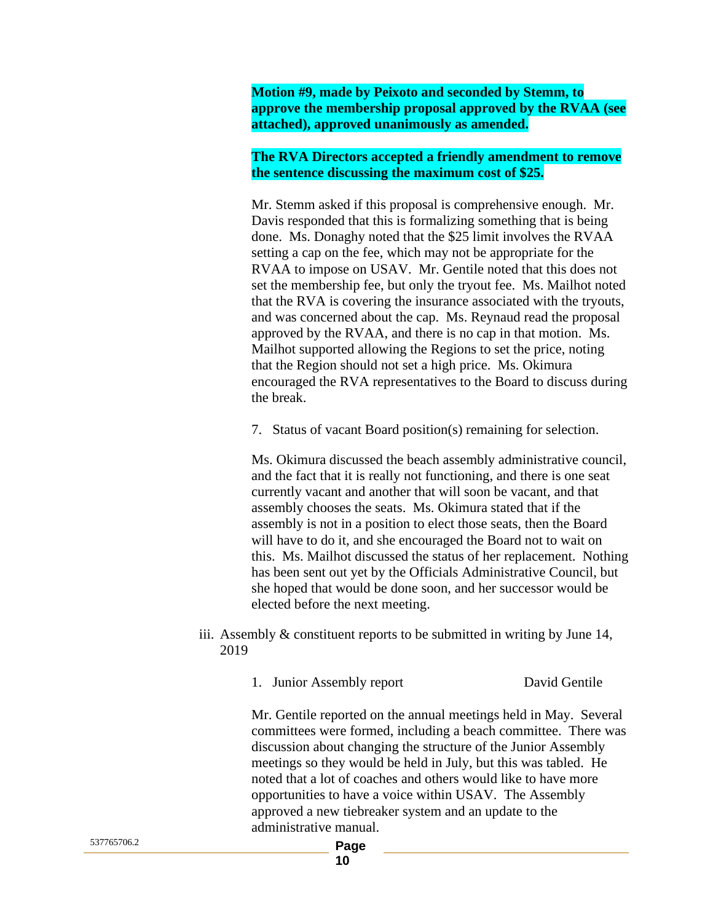**Motion #9, made by Peixoto and seconded by Stemm, to approve the membership proposal approved by the RVAA (see attached), approved unanimously as amended.**

#### **The RVA Directors accepted a friendly amendment to remove the sentence discussing the maximum cost of \$25.**

Mr. Stemm asked if this proposal is comprehensive enough. Mr. Davis responded that this is formalizing something that is being done. Ms. Donaghy noted that the \$25 limit involves the RVAA setting a cap on the fee, which may not be appropriate for the RVAA to impose on USAV. Mr. Gentile noted that this does not set the membership fee, but only the tryout fee. Ms. Mailhot noted that the RVA is covering the insurance associated with the tryouts, and was concerned about the cap. Ms. Reynaud read the proposal approved by the RVAA, and there is no cap in that motion. Ms. Mailhot supported allowing the Regions to set the price, noting that the Region should not set a high price. Ms. Okimura encouraged the RVA representatives to the Board to discuss during the break.

7. Status of vacant Board position(s) remaining for selection.

Ms. Okimura discussed the beach assembly administrative council, and the fact that it is really not functioning, and there is one seat currently vacant and another that will soon be vacant, and that assembly chooses the seats. Ms. Okimura stated that if the assembly is not in a position to elect those seats, then the Board will have to do it, and she encouraged the Board not to wait on this. Ms. Mailhot discussed the status of her replacement. Nothing has been sent out yet by the Officials Administrative Council, but she hoped that would be done soon, and her successor would be elected before the next meeting.

iii. Assembly & constituent reports to be submitted in writing by June 14, 2019

1. Junior Assembly report David Gentile

Mr. Gentile reported on the annual meetings held in May. Several committees were formed, including a beach committee. There was discussion about changing the structure of the Junior Assembly meetings so they would be held in July, but this was tabled. He noted that a lot of coaches and others would like to have more opportunities to have a voice within USAV. The Assembly approved a new tiebreaker system and an update to the administrative manual.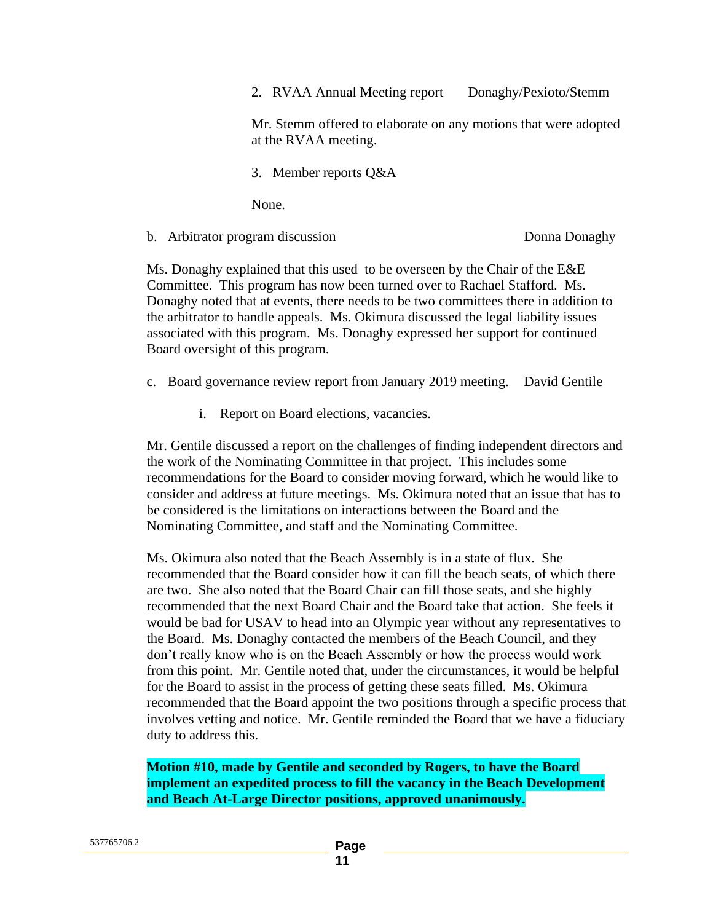2. RVAA Annual Meeting report Donaghy/Pexioto/Stemm

Mr. Stemm offered to elaborate on any motions that were adopted at the RVAA meeting.

3. Member reports Q&A

None.

b. Arbitrator program discussion Donna Donaghy

Ms. Donaghy explained that this used to be overseen by the Chair of the E&E Committee. This program has now been turned over to Rachael Stafford. Ms. Donaghy noted that at events, there needs to be two committees there in addition to the arbitrator to handle appeals. Ms. Okimura discussed the legal liability issues associated with this program. Ms. Donaghy expressed her support for continued Board oversight of this program.

c. Board governance review report from January 2019 meeting. David Gentile

i. Report on Board elections, vacancies.

Mr. Gentile discussed a report on the challenges of finding independent directors and the work of the Nominating Committee in that project. This includes some recommendations for the Board to consider moving forward, which he would like to consider and address at future meetings. Ms. Okimura noted that an issue that has to be considered is the limitations on interactions between the Board and the Nominating Committee, and staff and the Nominating Committee.

Ms. Okimura also noted that the Beach Assembly is in a state of flux. She recommended that the Board consider how it can fill the beach seats, of which there are two. She also noted that the Board Chair can fill those seats, and she highly recommended that the next Board Chair and the Board take that action. She feels it would be bad for USAV to head into an Olympic year without any representatives to the Board. Ms. Donaghy contacted the members of the Beach Council, and they don't really know who is on the Beach Assembly or how the process would work from this point. Mr. Gentile noted that, under the circumstances, it would be helpful for the Board to assist in the process of getting these seats filled. Ms. Okimura recommended that the Board appoint the two positions through a specific process that involves vetting and notice. Mr. Gentile reminded the Board that we have a fiduciary duty to address this.

**Motion #10, made by Gentile and seconded by Rogers, to have the Board implement an expedited process to fill the vacancy in the Beach Development and Beach At-Large Director positions, approved unanimously.**

| 537765706.2 | Page |
|-------------|------|
|-------------|------|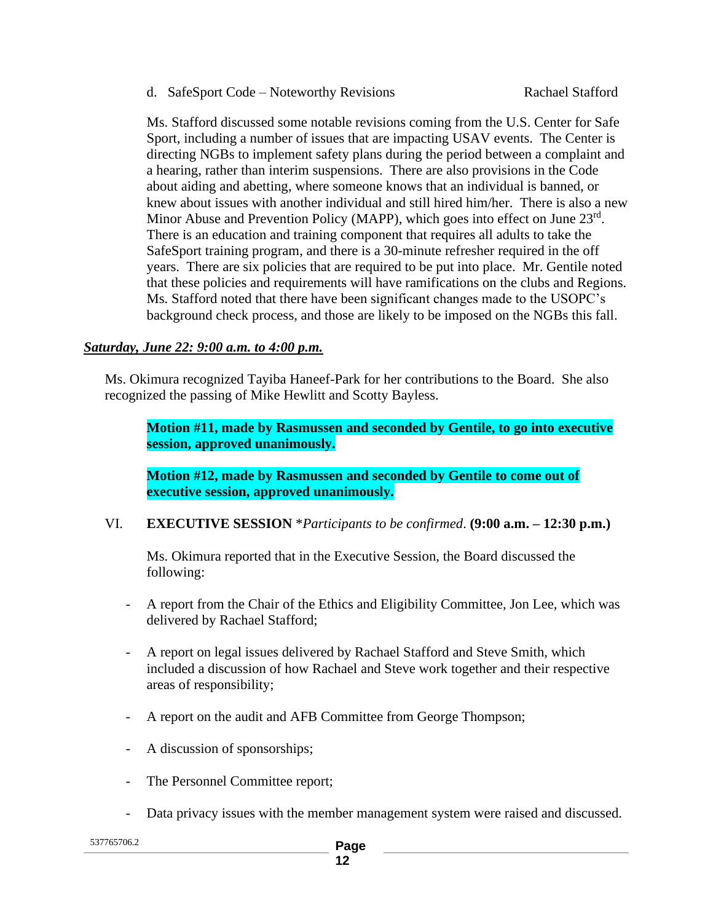d. SafeSport Code – Noteworthy Revisions Rachael Stafford

Ms. Stafford discussed some notable revisions coming from the U.S. Center for Safe Sport, including a number of issues that are impacting USAV events. The Center is directing NGBs to implement safety plans during the period between a complaint and a hearing, rather than interim suspensions. There are also provisions in the Code about aiding and abetting, where someone knows that an individual is banned, or knew about issues with another individual and still hired him/her. There is also a new Minor Abuse and Prevention Policy (MAPP), which goes into effect on June 23rd. There is an education and training component that requires all adults to take the SafeSport training program, and there is a 30-minute refresher required in the off years. There are six policies that are required to be put into place. Mr. Gentile noted that these policies and requirements will have ramifications on the clubs and Regions. Ms. Stafford noted that there have been significant changes made to the USOPC's background check process, and those are likely to be imposed on the NGBs this fall.

### *Saturday, June 22: 9:00 a.m. to 4:00 p.m.*

Ms. Okimura recognized Tayiba Haneef-Park for her contributions to the Board. She also recognized the passing of Mike Hewlitt and Scotty Bayless.

**Motion #11, made by Rasmussen and seconded by Gentile, to go into executive session, approved unanimously.**

**Motion #12, made by Rasmussen and seconded by Gentile to come out of executive session, approved unanimously.**

VI. **EXECUTIVE SESSION** \**Participants to be confirmed*. **(9:00 a.m. – 12:30 p.m.)**

Ms. Okimura reported that in the Executive Session, the Board discussed the following:

- A report from the Chair of the Ethics and Eligibility Committee, Jon Lee, which was delivered by Rachael Stafford;
- A report on legal issues delivered by Rachael Stafford and Steve Smith, which included a discussion of how Rachael and Steve work together and their respective areas of responsibility;
- A report on the audit and AFB Committee from George Thompson;
- A discussion of sponsorships;
- The Personnel Committee report;
- Data privacy issues with the member management system were raised and discussed.

537765706.2 **Page**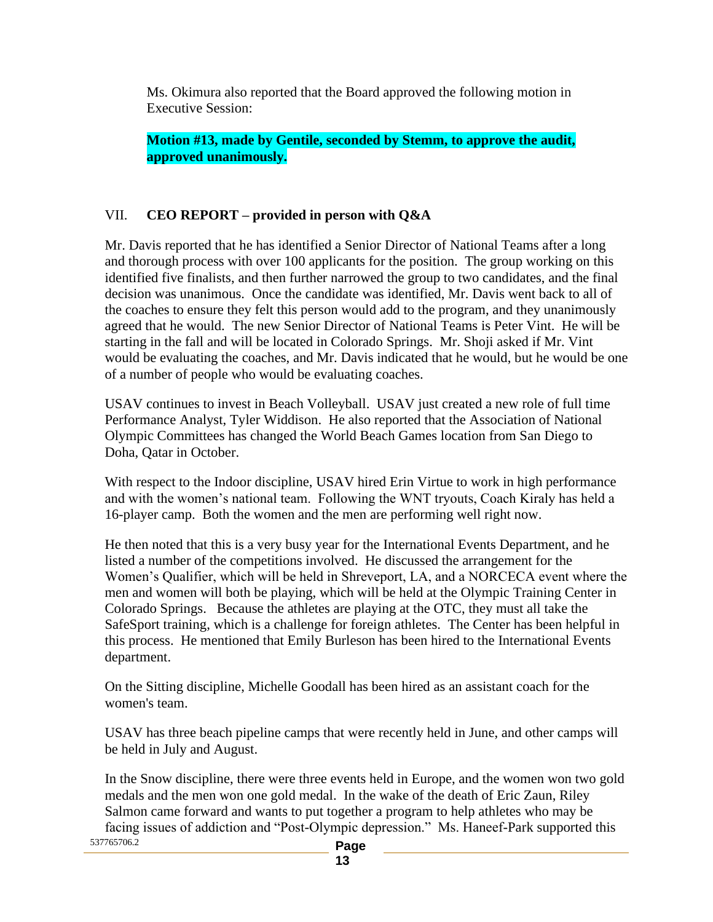Ms. Okimura also reported that the Board approved the following motion in Executive Session:

**Motion #13, made by Gentile, seconded by Stemm, to approve the audit, approved unanimously.**

### VII. **CEO REPORT – provided in person with Q&A**

Mr. Davis reported that he has identified a Senior Director of National Teams after a long and thorough process with over 100 applicants for the position. The group working on this identified five finalists, and then further narrowed the group to two candidates, and the final decision was unanimous. Once the candidate was identified, Mr. Davis went back to all of the coaches to ensure they felt this person would add to the program, and they unanimously agreed that he would. The new Senior Director of National Teams is Peter Vint. He will be starting in the fall and will be located in Colorado Springs. Mr. Shoji asked if Mr. Vint would be evaluating the coaches, and Mr. Davis indicated that he would, but he would be one of a number of people who would be evaluating coaches.

USAV continues to invest in Beach Volleyball. USAV just created a new role of full time Performance Analyst, Tyler Widdison. He also reported that the Association of National Olympic Committees has changed the World Beach Games location from San Diego to Doha, Qatar in October.

With respect to the Indoor discipline, USAV hired Erin Virtue to work in high performance and with the women's national team. Following the WNT tryouts, Coach Kiraly has held a 16-player camp. Both the women and the men are performing well right now.

He then noted that this is a very busy year for the International Events Department, and he listed a number of the competitions involved. He discussed the arrangement for the Women's Qualifier, which will be held in Shreveport, LA, and a NORCECA event where the men and women will both be playing, which will be held at the Olympic Training Center in Colorado Springs. Because the athletes are playing at the OTC, they must all take the SafeSport training, which is a challenge for foreign athletes. The Center has been helpful in this process. He mentioned that Emily Burleson has been hired to the International Events department.

On the Sitting discipline, Michelle Goodall has been hired as an assistant coach for the women's team.

USAV has three beach pipeline camps that were recently held in June, and other camps will be held in July and August.

537765706.2 **Page**  In the Snow discipline, there were three events held in Europe, and the women won two gold medals and the men won one gold medal. In the wake of the death of Eric Zaun, Riley Salmon came forward and wants to put together a program to help athletes who may be facing issues of addiction and "Post-Olympic depression." Ms. Haneef-Park supported this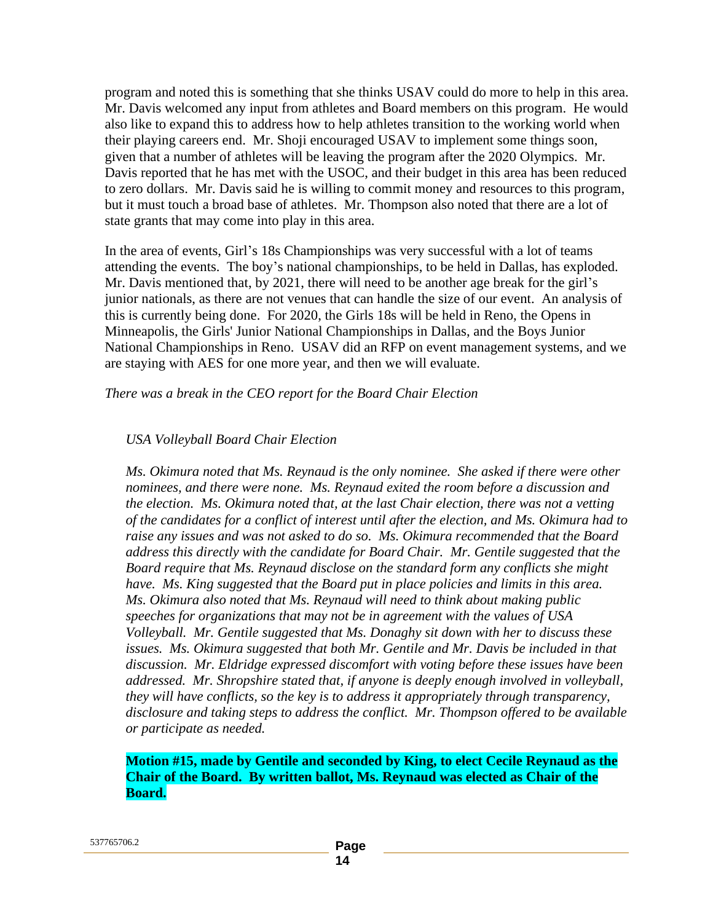program and noted this is something that she thinks USAV could do more to help in this area. Mr. Davis welcomed any input from athletes and Board members on this program. He would also like to expand this to address how to help athletes transition to the working world when their playing careers end. Mr. Shoji encouraged USAV to implement some things soon, given that a number of athletes will be leaving the program after the 2020 Olympics. Mr. Davis reported that he has met with the USOC, and their budget in this area has been reduced to zero dollars. Mr. Davis said he is willing to commit money and resources to this program, but it must touch a broad base of athletes. Mr. Thompson also noted that there are a lot of state grants that may come into play in this area.

In the area of events, Girl's 18s Championships was very successful with a lot of teams attending the events. The boy's national championships, to be held in Dallas, has exploded. Mr. Davis mentioned that, by 2021, there will need to be another age break for the girl's junior nationals, as there are not venues that can handle the size of our event. An analysis of this is currently being done. For 2020, the Girls 18s will be held in Reno, the Opens in Minneapolis, the Girls' Junior National Championships in Dallas, and the Boys Junior National Championships in Reno. USAV did an RFP on event management systems, and we are staying with AES for one more year, and then we will evaluate.

*There was a break in the CEO report for the Board Chair Election*

### *USA Volleyball Board Chair Election*

*Ms. Okimura noted that Ms. Reynaud is the only nominee. She asked if there were other nominees, and there were none. Ms. Reynaud exited the room before a discussion and the election. Ms. Okimura noted that, at the last Chair election, there was not a vetting of the candidates for a conflict of interest until after the election, and Ms. Okimura had to raise any issues and was not asked to do so. Ms. Okimura recommended that the Board address this directly with the candidate for Board Chair. Mr. Gentile suggested that the Board require that Ms. Reynaud disclose on the standard form any conflicts she might have. Ms. King suggested that the Board put in place policies and limits in this area. Ms. Okimura also noted that Ms. Reynaud will need to think about making public speeches for organizations that may not be in agreement with the values of USA Volleyball. Mr. Gentile suggested that Ms. Donaghy sit down with her to discuss these issues. Ms. Okimura suggested that both Mr. Gentile and Mr. Davis be included in that discussion. Mr. Eldridge expressed discomfort with voting before these issues have been addressed. Mr. Shropshire stated that, if anyone is deeply enough involved in volleyball, they will have conflicts, so the key is to address it appropriately through transparency, disclosure and taking steps to address the conflict. Mr. Thompson offered to be available or participate as needed.*

**Motion #15, made by Gentile and seconded by King, to elect Cecile Reynaud as the Chair of the Board. By written ballot, Ms. Reynaud was elected as Chair of the Board.**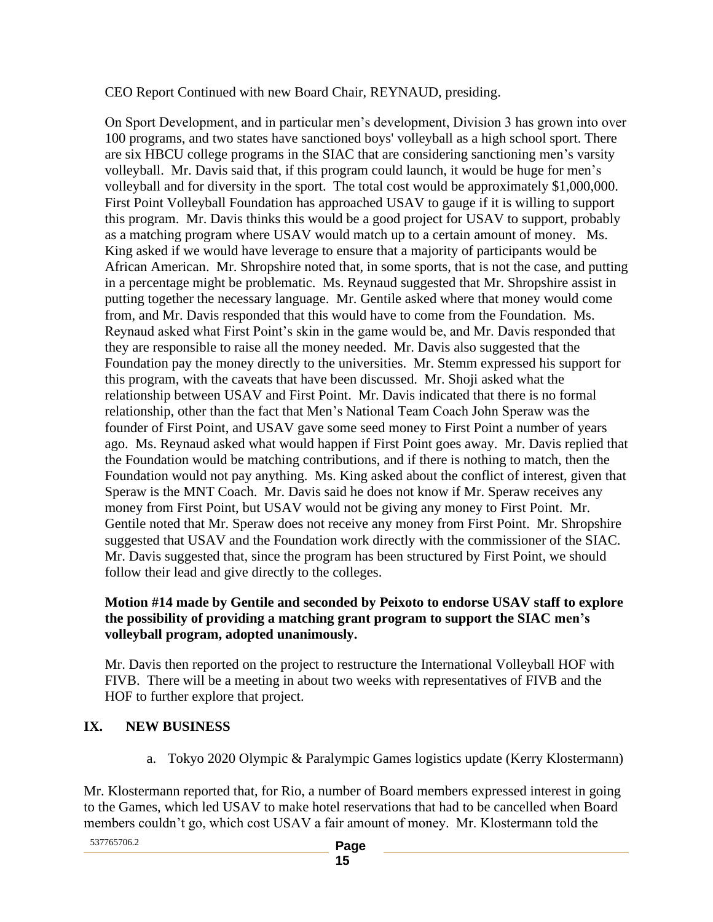### CEO Report Continued with new Board Chair, REYNAUD, presiding.

On Sport Development, and in particular men's development, Division 3 has grown into over 100 programs, and two states have sanctioned boys' volleyball as a high school sport. There are six HBCU college programs in the SIAC that are considering sanctioning men's varsity volleyball. Mr. Davis said that, if this program could launch, it would be huge for men's volleyball and for diversity in the sport. The total cost would be approximately \$1,000,000. First Point Volleyball Foundation has approached USAV to gauge if it is willing to support this program. Mr. Davis thinks this would be a good project for USAV to support, probably as a matching program where USAV would match up to a certain amount of money. Ms. King asked if we would have leverage to ensure that a majority of participants would be African American. Mr. Shropshire noted that, in some sports, that is not the case, and putting in a percentage might be problematic. Ms. Reynaud suggested that Mr. Shropshire assist in putting together the necessary language. Mr. Gentile asked where that money would come from, and Mr. Davis responded that this would have to come from the Foundation. Ms. Reynaud asked what First Point's skin in the game would be, and Mr. Davis responded that they are responsible to raise all the money needed. Mr. Davis also suggested that the Foundation pay the money directly to the universities. Mr. Stemm expressed his support for this program, with the caveats that have been discussed. Mr. Shoji asked what the relationship between USAV and First Point. Mr. Davis indicated that there is no formal relationship, other than the fact that Men's National Team Coach John Speraw was the founder of First Point, and USAV gave some seed money to First Point a number of years ago. Ms. Reynaud asked what would happen if First Point goes away. Mr. Davis replied that the Foundation would be matching contributions, and if there is nothing to match, then the Foundation would not pay anything. Ms. King asked about the conflict of interest, given that Speraw is the MNT Coach. Mr. Davis said he does not know if Mr. Speraw receives any money from First Point, but USAV would not be giving any money to First Point. Mr. Gentile noted that Mr. Speraw does not receive any money from First Point. Mr. Shropshire suggested that USAV and the Foundation work directly with the commissioner of the SIAC. Mr. Davis suggested that, since the program has been structured by First Point, we should follow their lead and give directly to the colleges.

### **Motion #14 made by Gentile and seconded by Peixoto to endorse USAV staff to explore the possibility of providing a matching grant program to support the SIAC men's volleyball program, adopted unanimously.**

Mr. Davis then reported on the project to restructure the International Volleyball HOF with FIVB. There will be a meeting in about two weeks with representatives of FIVB and the HOF to further explore that project.

## **IX. NEW BUSINESS**

a. Tokyo 2020 Olympic & Paralympic Games logistics update (Kerry Klostermann)

Mr. Klostermann reported that, for Rio, a number of Board members expressed interest in going to the Games, which led USAV to make hotel reservations that had to be cancelled when Board members couldn't go, which cost USAV a fair amount of money. Mr. Klostermann told the

537765706.2 **Page**